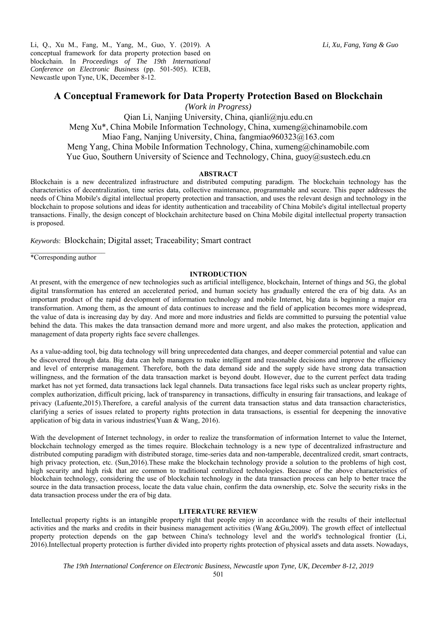Li, Q., Xu M., Fang, M., Yang, M., Guo, Y. (2019). A conceptual framework for data property protection based on blockchain. In *Proceedings of The 19th International Conference on Electronic Business* (pp. 501-505). ICEB, Newcastle upon Tyne, UK, December 8-12.

# **A Conceptual Framework for Data Property Protection Based on Blockchain**

*(Work in Progress)* 

Qian Li, Nanjing University, China, qianli@nju.edu.cn Meng Xu\*, China Mobile Information Technology, China, xumeng@chinamobile.com Miao Fang, Nanjing University, China, fangmiao960323@163.com Meng Yang, China Mobile Information Technology, China, xumeng@chinamobile.com Yue Guo, Southern University of Science and Technology, China, guoy@sustech.edu.cn

# **ABSTRACT**

Blockchain is a new decentralized infrastructure and distributed computing paradigm. The blockchain technology has the characteristics of decentralization, time series data, collective maintenance, programmable and secure. This paper addresses the needs of China Mobile's digital intellectual property protection and transaction, and uses the relevant design and technology in the blockchain to propose solutions and ideas for identity authentication and traceability of China Mobile's digital intellectual property transactions. Finally, the design concept of blockchain architecture based on China Mobile digital intellectual property transaction is proposed.

*Keywords*: Blockchain; Digital asset; Traceability; Smart contract

\*Corresponding author

# **INTRODUCTION**

At present, with the emergence of new technologies such as artificial intelligence, blockchain, Internet of things and 5G, the global digital transformation has entered an accelerated period, and human society has gradually entered the era of big data. As an important product of the rapid development of information technology and mobile Internet, big data is beginning a major era transformation. Among them, as the amount of data continues to increase and the field of application becomes more widespread, the value of data is increasing day by day. And more and more industries and fields are committed to pursuing the potential value behind the data. This makes the data transaction demand more and more urgent, and also makes the protection, application and management of data property rights face severe challenges.

As a value-adding tool, big data technology will bring unprecedented data changes, and deeper commercial potential and value can be discovered through data. Big data can help managers to make intelligent and reasonable decisions and improve the efficiency and level of enterprise management. Therefore, both the data demand side and the supply side have strong data transaction willingness, and the formation of the data transaction market is beyond doubt. However, due to the current perfect data trading market has not yet formed, data transactions lack legal channels. Data transactions face legal risks such as unclear property rights, complex authorization, difficult pricing, lack of transparency in transactions, difficulty in ensuring fair transactions, and leakage of privacy (Lafuente,2015).Therefore, a careful analysis of the current data transaction status and data transaction characteristics, clarifying a series of issues related to property rights protection in data transactions, is essential for deepening the innovative application of big data in various industries(Yuan & Wang, 2016).

With the development of Internet technology, in order to realize the transformation of information Internet to value the Internet. blockchain technology emerged as the times require. Blockchain technology is a new type of decentralized infrastructure and distributed computing paradigm with distributed storage, time-series data and non-tamperable, decentralized credit, smart contracts, high privacy protection, etc. (Sun,2016). These make the blockchain technology provide a solution to the problems of high cost, high security and high risk that are common to traditional centralized technologies. Because of the above characteristics of blockchain technology, considering the use of blockchain technology in the data transaction process can help to better trace the source in the data transaction process, locate the data value chain, confirm the data ownership, etc. Solve the security risks in the data transaction process under the era of big data.

#### **LITERATURE REVIEW**

Intellectual property rights is an intangible property right that people enjoy in accordance with the results of their intellectual activities and the marks and credits in their business management activities (Wang &Gu,2009). The growth effect of intellectual property protection depends on the gap between China's technology level and the world's technological frontier (Li, 2016).Intellectual property protection is further divided into property rights protection of physical assets and data assets. Nowadays,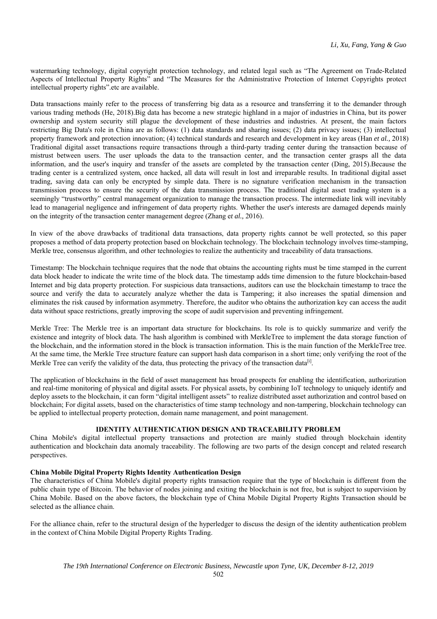watermarking technology, digital copyright protection technology, and related legal such as "The Agreement on Trade-Related Aspects of Intellectual Property Rights" and "The Measures for the Administrative Protection of Internet Copyrights protect intellectual property rights".etc are available.

Data transactions mainly refer to the process of transferring big data as a resource and transferring it to the demander through various trading methods (He, 2018).Big data has become a new strategic highland in a major of industries in China, but its power ownership and system security still plague the development of these industries and industries. At present, the main factors restricting Big Data's role in China are as follows: (1) data standards and sharing issues; (2) data privacy issues; (3) intellectual property framework and protection innovation; (4) technical standards and research and development in key areas (Han *et al.,* 2018) Traditional digital asset transactions require transactions through a third-party trading center during the transaction because of mistrust between users. The user uploads the data to the transaction center, and the transaction center grasps all the data information, and the user's inquiry and transfer of the assets are completed by the transaction center (Ding, 2015).Because the trading center is a centralized system, once hacked, all data will result in lost and irreparable results. In traditional digital asset trading, saving data can only be encrypted by simple data. There is no signature verification mechanism in the transaction transmission process to ensure the security of the data transmission process. The traditional digital asset trading system is a seemingly "trustworthy" central management organization to manage the transaction process. The intermediate link will inevitably lead to managerial negligence and infringement of data property rights. Whether the user's interests are damaged depends mainly on the integrity of the transaction center management degree (Zhang e*t al.,* 2016).

In view of the above drawbacks of traditional data transactions, data property rights cannot be well protected, so this paper proposes a method of data property protection based on blockchain technology. The blockchain technology involves time-stamping, Merkle tree, consensus algorithm, and other technologies to realize the authenticity and traceability of data transactions.

Timestamp: The blockchain technique requires that the node that obtains the accounting rights must be time stamped in the current data block header to indicate the write time of the block data. The timestamp adds time dimension to the future blockchain-based Internet and big data property protection. For suspicious data transactions, auditors can use the blockchain timestamp to trace the source and verify the data to accurately analyze whether the data is Tampering; it also increases the spatial dimension and eliminates the risk caused by information asymmetry. Therefore, the auditor who obtains the authorization key can access the audit data without space restrictions, greatly improving the scope of audit supervision and preventing infringement.

Merkle Tree: The Merkle tree is an important data structure for blockchains. Its role is to quickly summarize and verify the existence and integrity of block data. The hash algorithm is combined with MerkleTree to implement the data storage function of the blockchain, and the information stored in the block is transaction information. This is the main function of the MerkleTree tree. At the same time, the Merkle Tree structure feature can support hash data comparison in a short time; only verifying the root of the Merkle Tree can verify the validity of the data, thus protecting the privacy of the transaction data<sup>[i]</sup>.

The application of blockchains in the field of asset management has broad prospects for enabling the identification, authorization and real-time monitoring of physical and digital assets. For physical assets, by combining IoT technology to uniquely identify and deploy assets to the blockchain, it can form "digital intelligent assets" to realize distributed asset authorization and control based on blockchain; For digital assets, based on the characteristics of time stamp technology and non-tampering, blockchain technology can be applied to intellectual property protection, domain name management, and point management.

# **IDENTITY AUTHENTICATION DESIGN AND TRACEABILITY PROBLEM**

China Mobile's digital intellectual property transactions and protection are mainly studied through blockchain identity authentication and blockchain data anomaly traceability. The following are two parts of the design concept and related research perspectives.

### **China Mobile Digital Property Rights Identity Authentication Design**

The characteristics of China Mobile's digital property rights transaction require that the type of blockchain is different from the public chain type of Bitcoin. The behavior of nodes joining and exiting the blockchain is not free, but is subject to supervision by China Mobile. Based on the above factors, the blockchain type of China Mobile Digital Property Rights Transaction should be selected as the alliance chain.

For the alliance chain, refer to the structural design of the hyperledger to discuss the design of the identity authentication problem in the context of China Mobile Digital Property Rights Trading.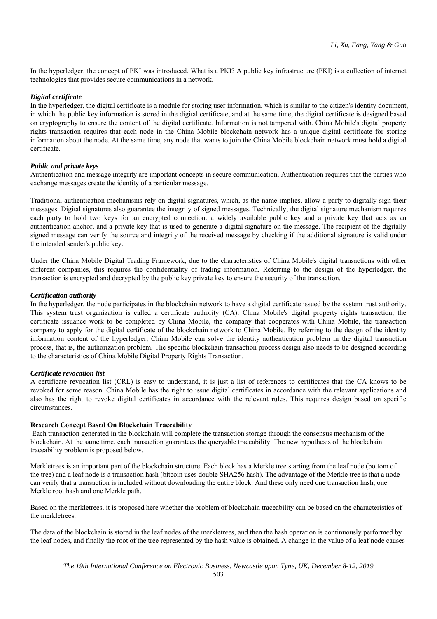In the hyperledger, the concept of PKI was introduced. What is a PKI? A public key infrastructure (PKI) is a collection of internet technologies that provides secure communications in a network.

### *Digital certificate*

In the hyperledger, the digital certificate is a module for storing user information, which is similar to the citizen's identity document, in which the public key information is stored in the digital certificate, and at the same time, the digital certificate is designed based on cryptography to ensure the content of the digital certificate. Information is not tampered with. China Mobile's digital property rights transaction requires that each node in the China Mobile blockchain network has a unique digital certificate for storing information about the node. At the same time, any node that wants to join the China Mobile blockchain network must hold a digital certificate.

#### *Public and private keys*

Authentication and message integrity are important concepts in secure communication. Authentication requires that the parties who exchange messages create the identity of a particular message.

Traditional authentication mechanisms rely on digital signatures, which, as the name implies, allow a party to digitally sign their messages. Digital signatures also guarantee the integrity of signed messages. Technically, the digital signature mechanism requires each party to hold two keys for an encrypted connection: a widely available public key and a private key that acts as an authentication anchor, and a private key that is used to generate a digital signature on the message. The recipient of the digitally signed message can verify the source and integrity of the received message by checking if the additional signature is valid under the intended sender's public key.

Under the China Mobile Digital Trading Framework, due to the characteristics of China Mobile's digital transactions with other different companies, this requires the confidentiality of trading information. Referring to the design of the hyperledger, the transaction is encrypted and decrypted by the public key private key to ensure the security of the transaction.

#### *Certification authority*

In the hyperledger, the node participates in the blockchain network to have a digital certificate issued by the system trust authority. This system trust organization is called a certificate authority (CA). China Mobile's digital property rights transaction, the certificate issuance work to be completed by China Mobile, the company that cooperates with China Mobile, the transaction company to apply for the digital certificate of the blockchain network to China Mobile. By referring to the design of the identity information content of the hyperledger, China Mobile can solve the identity authentication problem in the digital transaction process, that is, the authorization problem. The specific blockchain transaction process design also needs to be designed according to the characteristics of China Mobile Digital Property Rights Transaction.

#### *Certificate revocation list*

A certificate revocation list (CRL) is easy to understand, it is just a list of references to certificates that the CA knows to be revoked for some reason. China Mobile has the right to issue digital certificates in accordance with the relevant applications and also has the right to revoke digital certificates in accordance with the relevant rules. This requires design based on specific circumstances.

#### **Research Concept Based On Blockchain Traceability**

 Each transaction generated in the blockchain will complete the transaction storage through the consensus mechanism of the blockchain. At the same time, each transaction guarantees the queryable traceability. The new hypothesis of the blockchain traceability problem is proposed below.

Merkletrees is an important part of the blockchain structure. Each block has a Merkle tree starting from the leaf node (bottom of the tree) and a leaf node is a transaction hash (bitcoin uses double SHA256 hash). The advantage of the Merkle tree is that a node can verify that a transaction is included without downloading the entire block. And these only need one transaction hash, one Merkle root hash and one Merkle path.

Based on the merkletrees, it is proposed here whether the problem of blockchain traceability can be based on the characteristics of the merkletrees.

The data of the blockchain is stored in the leaf nodes of the merkletrees, and then the hash operation is continuously performed by the leaf nodes, and finally the root of the tree represented by the hash value is obtained. A change in the value of a leaf node causes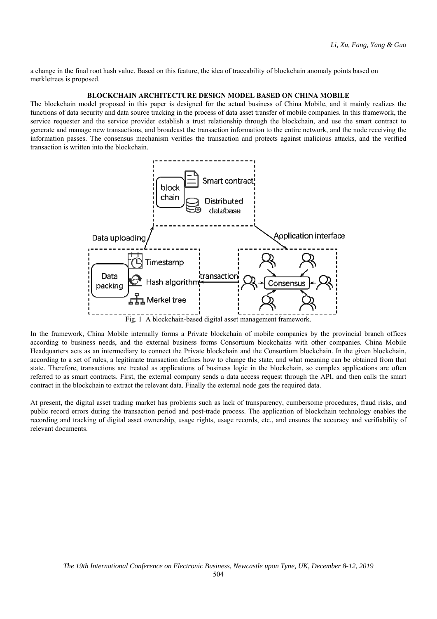a change in the final root hash value. Based on this feature, the idea of traceability of blockchain anomaly points based on merkletrees is proposed.

### **BLOCKCHAIN ARCHITECTURE DESIGN MODEL BASED ON CHINA MOBILE**

The blockchain model proposed in this paper is designed for the actual business of China Mobile, and it mainly realizes the functions of data security and data source tracking in the process of data asset transfer of mobile companies. In this framework, the service requester and the service provider establish a trust relationship through the blockchain, and use the smart contract to generate and manage new transactions, and broadcast the transaction information to the entire network, and the node receiving the information passes. The consensus mechanism verifies the transaction and protects against malicious attacks, and the verified transaction is written into the blockchain.



In the framework, China Mobile internally forms a Private blockchain of mobile companies by the provincial branch offices according to business needs, and the external business forms Consortium blockchains with other companies. China Mobile Headquarters acts as an intermediary to connect the Private blockchain and the Consortium blockchain. In the given blockchain, according to a set of rules, a legitimate transaction defines how to change the state, and what meaning can be obtained from that state. Therefore, transactions are treated as applications of business logic in the blockchain, so complex applications are often referred to as smart contracts. First, the external company sends a data access request through the API, and then calls the smart contract in the blockchain to extract the relevant data. Finally the external node gets the required data.

At present, the digital asset trading market has problems such as lack of transparency, cumbersome procedures, fraud risks, and public record errors during the transaction period and post-trade process. The application of blockchain technology enables the recording and tracking of digital asset ownership, usage rights, usage records, etc., and ensures the accuracy and verifiability of relevant documents.